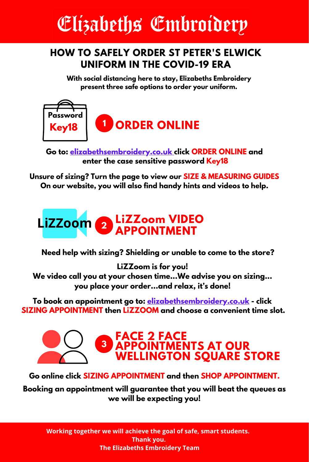# Elizabeths Embroiderp

### **HOW TO SAFELY ORDER ST PETER'S ELWICK UNIFORM IN THE COVID-19 ERA**

**With social distancing here to stay, Elizabeths Embroidery present three safe options to order your uniform.**



**Go to: [elizabethsembroidery.co.uk](http://elizabethsembroidery.co.uk/) click ORDER ONLINE and enter the case sensitive password Key18**

**Unsure of sizing? Turn the page to view our SIZE & MEASURING GUIDES On our website, you will also find handy hints and videos to help.**



**Need help with sizing? Shielding or unable to come to the store?**

**LiZZoom is for you! We video call you at your chosen time...We advise you on sizing... you place your order…and relax, it's done!**

**To book an appointment go to: [elizabethsembroidery.co.uk](http://elizabethsembroidery.co.uk/) - click SIZING APPOINTMENT then LiZZOOM and choose a convenient time slot.**



**Go online click SIZING APPOINTMENT and then SHOP APPOINTMENT.**

**Booking an appointment will guarantee that you will beat the queues as we will be expecting you!**

**Working together we will achieve the goal of safe, smart students. Thank you. The Elizabeths Embroidery Team**